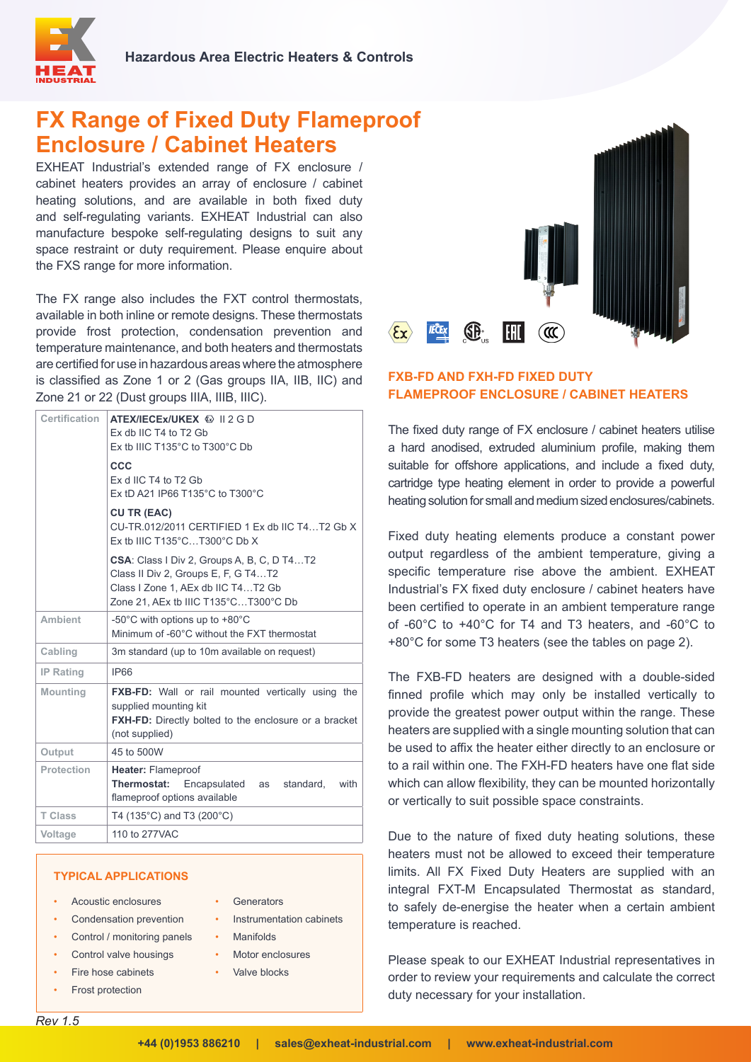

# **FX Range of Fixed Duty Flameproof Enclosure / Cabinet Heaters**

EXHEAT Industrial's extended range of FX enclosure / cabinet heaters provides an array of enclosure / cabinet heating solutions, and are available in both fixed duty and self-regulating variants. EXHEAT Industrial can also manufacture bespoke self-regulating designs to suit any space restraint or duty requirement. Please enquire about the FXS range for more information.

The FX range also includes the FXT control thermostats, available in both inline or remote designs. These thermostats provide frost protection, condensation prevention and temperature maintenance, and both heaters and thermostats are certified for use in hazardous areas where the atmosphere is classified as Zone 1 or 2 (Gas groups IIA, IIB, IIC) and Zone 21 or 22 (Dust groups IIIA, IIIB, IIIC).

| <b>Certification</b> | ATEX/IECEX/UKEX & II 2 G D<br>Ex db IIC T4 to T2 Gb<br>Ex tb IIIC T135°C to T300°C Db                                                                                  |  |  |  |  |  |
|----------------------|------------------------------------------------------------------------------------------------------------------------------------------------------------------------|--|--|--|--|--|
|                      | CCC<br>Ex d IIC T4 to T2 Gb<br>Ex tD A21 IP66 T135°C to T300°C                                                                                                         |  |  |  |  |  |
|                      | <b>CU TR (EAC)</b><br>CU-TR.012/2011 CERTIFIED 1 Ex db IIC T4T2 Gb X<br>Ex tb IIIC T135 $^{\circ}$ CT300 $^{\circ}$ C Db X                                             |  |  |  |  |  |
|                      | <b>CSA:</b> Class I Div 2, Groups A, B, C, D T4T2<br>Class II Div 2, Groups E, F, G T4T2<br>Class I Zone 1, AEx db IIC T4T2 Gb<br>Zone 21, AEx tb IIIC T135°CT300°C Db |  |  |  |  |  |
| <b>Ambient</b>       | -50 $^{\circ}$ C with options up to +80 $^{\circ}$ C<br>Minimum of -60°C without the FXT thermostat                                                                    |  |  |  |  |  |
| Cabling              | 3m standard (up to 10m available on request)                                                                                                                           |  |  |  |  |  |
| <b>IP Rating</b>     | <b>IP66</b>                                                                                                                                                            |  |  |  |  |  |
| <b>Mounting</b>      | <b>FXB-FD:</b> Wall or rail mounted vertically using the<br>supplied mounting kit<br><b>FXH-FD:</b> Directly bolted to the enclosure or a bracket<br>(not supplied)    |  |  |  |  |  |
| Output               | 45 to 500W                                                                                                                                                             |  |  |  |  |  |
| <b>Protection</b>    | <b>Heater: Flameproof</b><br><b>Thermostat:</b> Encapsulated as<br>standard.<br>with<br>flameproof options available                                                   |  |  |  |  |  |
| <b>T Class</b>       | T4 (135°C) and T3 (200°C)                                                                                                                                              |  |  |  |  |  |
| <b>Voltage</b>       | 110 to 277VAC                                                                                                                                                          |  |  |  |  |  |

## **TYPICAL APPLICATIONS**

- Acoustic enclosures
- Condensation prevention
- Control / monitoring panels
- Control valve housings
- Fire hose cabinets
- Frost protection
- Generators
	- Instrumentation cabinets
- Manifolds
- Motor enclosures
- Valve blocks



## **FXB-FD AND FXH-FD FIXED DUTY FLAMEPROOF ENCLOSURE / CABINET HEATERS**

The fixed duty range of FX enclosure / cabinet heaters utilise a hard anodised, extruded aluminium profile, making them suitable for offshore applications, and include a fixed duty, cartridge type heating element in order to provide a powerful heating solution for small and medium sized enclosures/cabinets.

Fixed duty heating elements produce a constant power output regardless of the ambient temperature, giving a specific temperature rise above the ambient. EXHEAT Industrial's FX fixed duty enclosure / cabinet heaters have been certified to operate in an ambient temperature range of -60°C to +40°C for T4 and T3 heaters, and -60°C to +80°C for some T3 heaters (see the tables on page 2).

The FXB-FD heaters are designed with a double-sided finned profile which may only be installed vertically to provide the greatest power output within the range. These heaters are supplied with a single mounting solution that can be used to affix the heater either directly to an enclosure or to a rail within one. The FXH-FD heaters have one flat side which can allow flexibility, they can be mounted horizontally or vertically to suit possible space constraints.

Due to the nature of fixed duty heating solutions, these heaters must not be allowed to exceed their temperature limits. All FX Fixed Duty Heaters are supplied with an integral FXT-M Encapsulated Thermostat as standard, to safely de-energise the heater when a certain ambient temperature is reached.

Please speak to our EXHEAT Industrial representatives in order to review your requirements and calculate the correct duty necessary for your installation.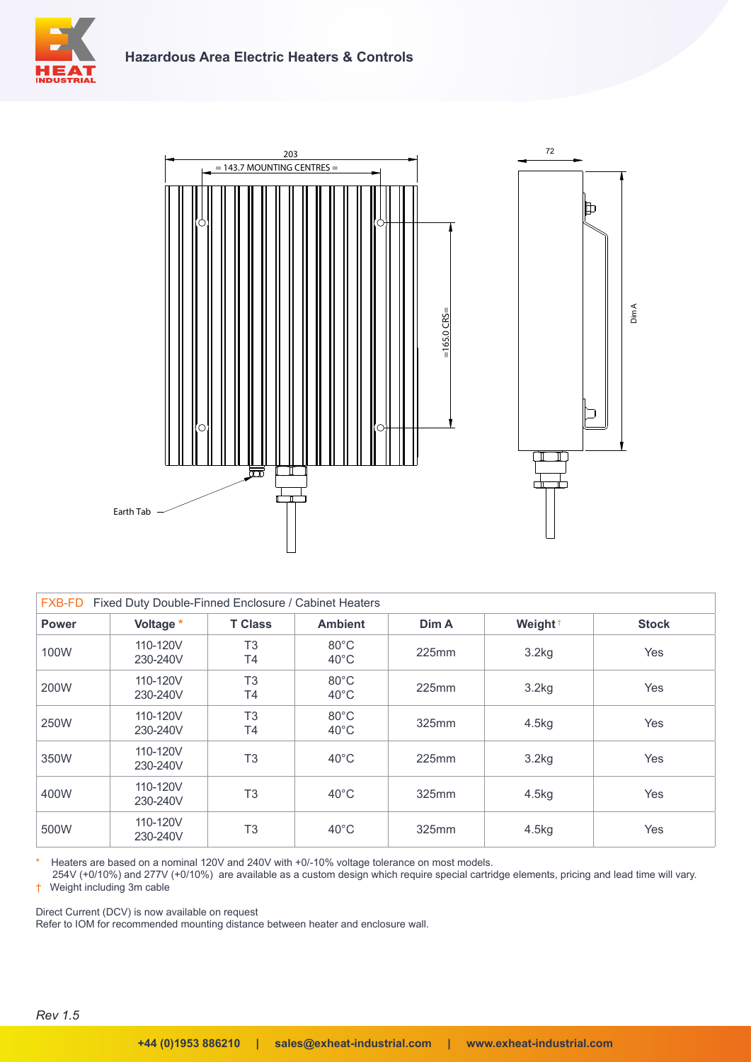





| Fixed Duty Double-Finned Enclosure / Cabinet Heaters<br><b>FXB-FD</b> |                      |                      |                                  |       |                     |              |
|-----------------------------------------------------------------------|----------------------|----------------------|----------------------------------|-------|---------------------|--------------|
| <b>Power</b>                                                          | Voltage *            | <b>T Class</b>       | <b>Ambient</b>                   | Dim A | Weight <sup>+</sup> | <b>Stock</b> |
| 100W                                                                  | 110-120V<br>230-240V | T <sub>3</sub><br>T4 | $80^{\circ}$ C<br>$40^{\circ}$ C | 225mm | 3.2kg               | Yes          |
| 200W                                                                  | 110-120V<br>230-240V | T <sub>3</sub><br>T4 | $80^{\circ}$ C<br>$40^{\circ}$ C | 225mm | 3.2kg               | Yes          |
| 250W                                                                  | 110-120V<br>230-240V | T <sub>3</sub><br>T4 | $80^{\circ}$ C<br>$40^{\circ}$ C | 325mm | 4.5kg               | Yes          |
| 350W                                                                  | 110-120V<br>230-240V | T <sub>3</sub>       | $40^{\circ}$ C                   | 225mm | 3.2kg               | <b>Yes</b>   |
| 400W                                                                  | 110-120V<br>230-240V | T <sub>3</sub>       | $40^{\circ}$ C                   | 325mm | 4.5kg               | Yes          |
| 500W                                                                  | 110-120V<br>230-240V | T <sub>3</sub>       | $40^{\circ}$ C                   | 325mm | 4.5kg               | Yes          |

Heaters are based on a nominal 120V and 240V with +0/-10% voltage tolerance on most models.

254V (+0/10%) and 277V (+0/10%) are available as a custom design which require special cartridge elements, pricing and lead time will vary. † Weight including 3m cable

Direct Current (DCV) is now available on request

Refer to IOM for recommended mounting distance between heater and enclosure wall.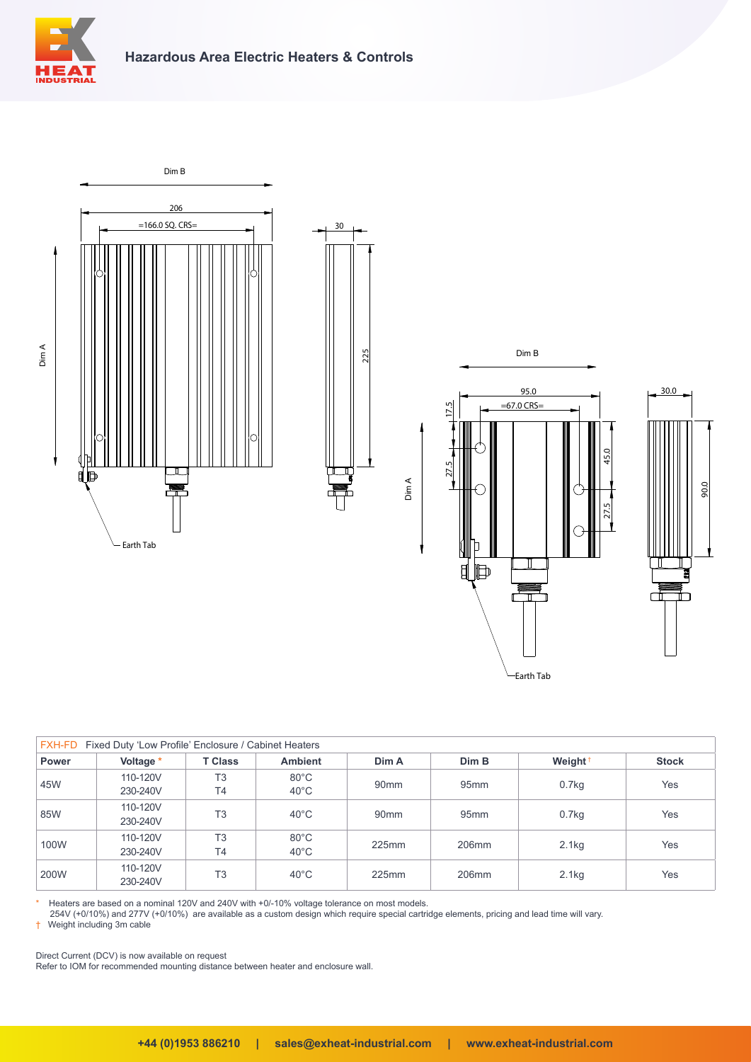



| FXH-FD<br>Fixed Duty 'Low Profile' Enclosure / Cabinet Heaters |                      |                             |                                  |                  |                  |                     |              |
|----------------------------------------------------------------|----------------------|-----------------------------|----------------------------------|------------------|------------------|---------------------|--------------|
| <b>Power</b>                                                   | Voltage *            | <b>T Class</b>              | <b>Ambient</b>                   | Dim A            | Dim B            | Weight <sup>+</sup> | <b>Stock</b> |
| 45W                                                            | 110-120V<br>230-240V | T <sub>3</sub><br><b>T4</b> | $80^{\circ}$ C<br>$40^{\circ}$ C | 90 <sub>mm</sub> | 95 <sub>mm</sub> | 0.7 <sub>kq</sub>   | Yes          |
| 85W                                                            | 110-120V<br>230-240V | T <sub>3</sub>              | $40^{\circ}$ C                   | 90 <sub>mm</sub> | 95 <sub>mm</sub> | 0.7 <sub>kq</sub>   | Yes          |
| 100W                                                           | 110-120V<br>230-240V | T <sub>3</sub><br><b>T4</b> | $80^{\circ}$ C<br>$40^{\circ}$ C | 225mm            | 206mm            | 2.1 <sub>kq</sub>   | Yes          |
| 200W                                                           | 110-120V<br>230-240V | T <sub>3</sub>              | $40^{\circ}$ C                   | 225mm            | 206mm            | 2.1kg               | Yes          |

Earth Tab

Heaters are based on a nominal 120V and 240V with +0/-10% voltage tolerance on most models.

254V (+0/10%) and 277V (+0/10%) are available as a custom design which require special cartridge elements, pricing and lead time will vary.

† Weight including 3m cable

Direct Current (DCV) is now available on request

Refer to IOM for recommended mounting distance between heater and enclosure wall.